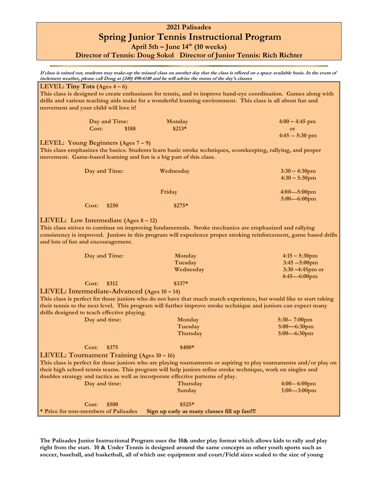## **2021 Palisades Spring Junior Tennis Instructional Program** *April 5th – June 14<sup>th</sup> (10 weeks)*

**Director of Tennis: Doug Sokol Director of Junior Tennis: Rich Richter**

**If class is rained out, students may make-up the missed class on another day that the class is offered on a space available basis. In the event of inclement weather, please call Doug at (240) 498-6140 and he will advise the status of the day's classes**

| LEVEL: Tiny Tots (Ages $4-6$ )                                                                                                                                                                                                                                                                                       |               |               |                                               |                                                                                                                |  |  |
|----------------------------------------------------------------------------------------------------------------------------------------------------------------------------------------------------------------------------------------------------------------------------------------------------------------------|---------------|---------------|-----------------------------------------------|----------------------------------------------------------------------------------------------------------------|--|--|
|                                                                                                                                                                                                                                                                                                                      |               |               |                                               | This class is designed to create enthusiasm for tennis, and to improve hand-eye coordination. Games along with |  |  |
|                                                                                                                                                                                                                                                                                                                      |               |               |                                               | drills and various teaching aids make for a wonderful learning environment. This class is all about fun and    |  |  |
| movement and your child will love it!                                                                                                                                                                                                                                                                                |               |               |                                               |                                                                                                                |  |  |
|                                                                                                                                                                                                                                                                                                                      |               | Day and Time: | Monday                                        | $4:00 - 4:45$ pm                                                                                               |  |  |
|                                                                                                                                                                                                                                                                                                                      | Cost:         | \$188         | $$213*$                                       | or                                                                                                             |  |  |
|                                                                                                                                                                                                                                                                                                                      |               |               |                                               | $4:45 - 5:30$ pm                                                                                               |  |  |
|                                                                                                                                                                                                                                                                                                                      |               |               |                                               |                                                                                                                |  |  |
| LEVEL: Young Beginners (Ages 7 – 9)<br>This class emphasizes the basics. Students learn basic stroke techniques, scorekeeping, rallying, and proper<br>movement. Game-based learning and fun is a big part of this class.                                                                                            |               |               |                                               |                                                                                                                |  |  |
|                                                                                                                                                                                                                                                                                                                      | Day and Time: |               |                                               |                                                                                                                |  |  |
|                                                                                                                                                                                                                                                                                                                      |               |               | Wednesday                                     | $3:30 - 4:30$ pm                                                                                               |  |  |
|                                                                                                                                                                                                                                                                                                                      |               |               |                                               | $4:30 - 5:30$ pm                                                                                               |  |  |
|                                                                                                                                                                                                                                                                                                                      |               |               |                                               |                                                                                                                |  |  |
|                                                                                                                                                                                                                                                                                                                      |               |               | Friday                                        | $4:00--5:00$ pm<br>5:00---6:00pm                                                                               |  |  |
|                                                                                                                                                                                                                                                                                                                      |               |               | $$275*$                                       |                                                                                                                |  |  |
|                                                                                                                                                                                                                                                                                                                      | Cost:         | \$250         |                                               |                                                                                                                |  |  |
| <b>LEVEL:</b> Low Intermediate (Ages $8 - 12$ )<br>This class strives to continue on improving fundamentals. Stroke mechanics are emphasized and rallying<br>consistency is improved. Juniors in this program will experience proper stroking reinforcement, game based drills<br>and lots of fun and encouragement. |               |               |                                               |                                                                                                                |  |  |
|                                                                                                                                                                                                                                                                                                                      | Day and Time: |               | Monday                                        | $4:15 - 5:30$ pm                                                                                               |  |  |
|                                                                                                                                                                                                                                                                                                                      |               |               | Tuesday                                       | 3:45 -- 5:00pm                                                                                                 |  |  |
|                                                                                                                                                                                                                                                                                                                      |               |               | Wednesday                                     | $3:30 - 4:45$ pm or                                                                                            |  |  |
|                                                                                                                                                                                                                                                                                                                      |               |               |                                               | 4:45---6:00pm                                                                                                  |  |  |
|                                                                                                                                                                                                                                                                                                                      | Cost:         | \$312         | $$337*$                                       |                                                                                                                |  |  |
|                                                                                                                                                                                                                                                                                                                      |               |               |                                               |                                                                                                                |  |  |
| LEVEL: Intermediate-Advanced (Ages 10 – 14)                                                                                                                                                                                                                                                                          |               |               |                                               |                                                                                                                |  |  |
| This class is perfect for those juniors who do not have that much match experience, but would like to start taking<br>their tennis to the next level. This program will further improve stroke technique and juniors can expect many<br>drills designed to teach effective playing.                                  |               |               |                                               |                                                                                                                |  |  |
|                                                                                                                                                                                                                                                                                                                      | Day and time: |               | Monday                                        | $5:30-7:00$ pm                                                                                                 |  |  |
|                                                                                                                                                                                                                                                                                                                      |               |               | Tuesday                                       | $5:00 - 6:30$ pm                                                                                               |  |  |
|                                                                                                                                                                                                                                                                                                                      |               |               | Thursday                                      | 5:00---6:30pm                                                                                                  |  |  |
|                                                                                                                                                                                                                                                                                                                      |               |               |                                               |                                                                                                                |  |  |
|                                                                                                                                                                                                                                                                                                                      | Cost:         | \$375         | $$400*$                                       |                                                                                                                |  |  |
|                                                                                                                                                                                                                                                                                                                      |               |               |                                               |                                                                                                                |  |  |
| LEVEL: Tournament Training (Ages 10 - 16)                                                                                                                                                                                                                                                                            |               |               |                                               |                                                                                                                |  |  |
| This class is perfect for those juniors who are playing tournaments or aspiring to play tournaments and/or play on                                                                                                                                                                                                   |               |               |                                               |                                                                                                                |  |  |
| their high school tennis teams. This program will help juniors refine stroke technique, work on singles and<br>doubles strategy and tactics as well as incorporate effective patterns of play.                                                                                                                       |               |               |                                               |                                                                                                                |  |  |
|                                                                                                                                                                                                                                                                                                                      | Day and time: |               |                                               |                                                                                                                |  |  |
|                                                                                                                                                                                                                                                                                                                      |               |               | Thursday                                      | $4:00-6:00$ pm                                                                                                 |  |  |
|                                                                                                                                                                                                                                                                                                                      |               |               | Sunday                                        | $1:00--3:00$ pm                                                                                                |  |  |
|                                                                                                                                                                                                                                                                                                                      | Cost:         | \$500         | \$525*                                        |                                                                                                                |  |  |
| * Price for non-members of Palisades                                                                                                                                                                                                                                                                                 |               |               | Sign up early as many classes fill up fast!!! |                                                                                                                |  |  |
|                                                                                                                                                                                                                                                                                                                      |               |               |                                               |                                                                                                                |  |  |

**The Palisades Junior Instructional Program uses the 10& under play format which allows kids to rally and play right from the start. 10 & Under Tennis is designed around the same concepts as other youth sports such as soccer, baseball, and basketball, all of which use equipment and court/Field sizes scaled to the size of young**